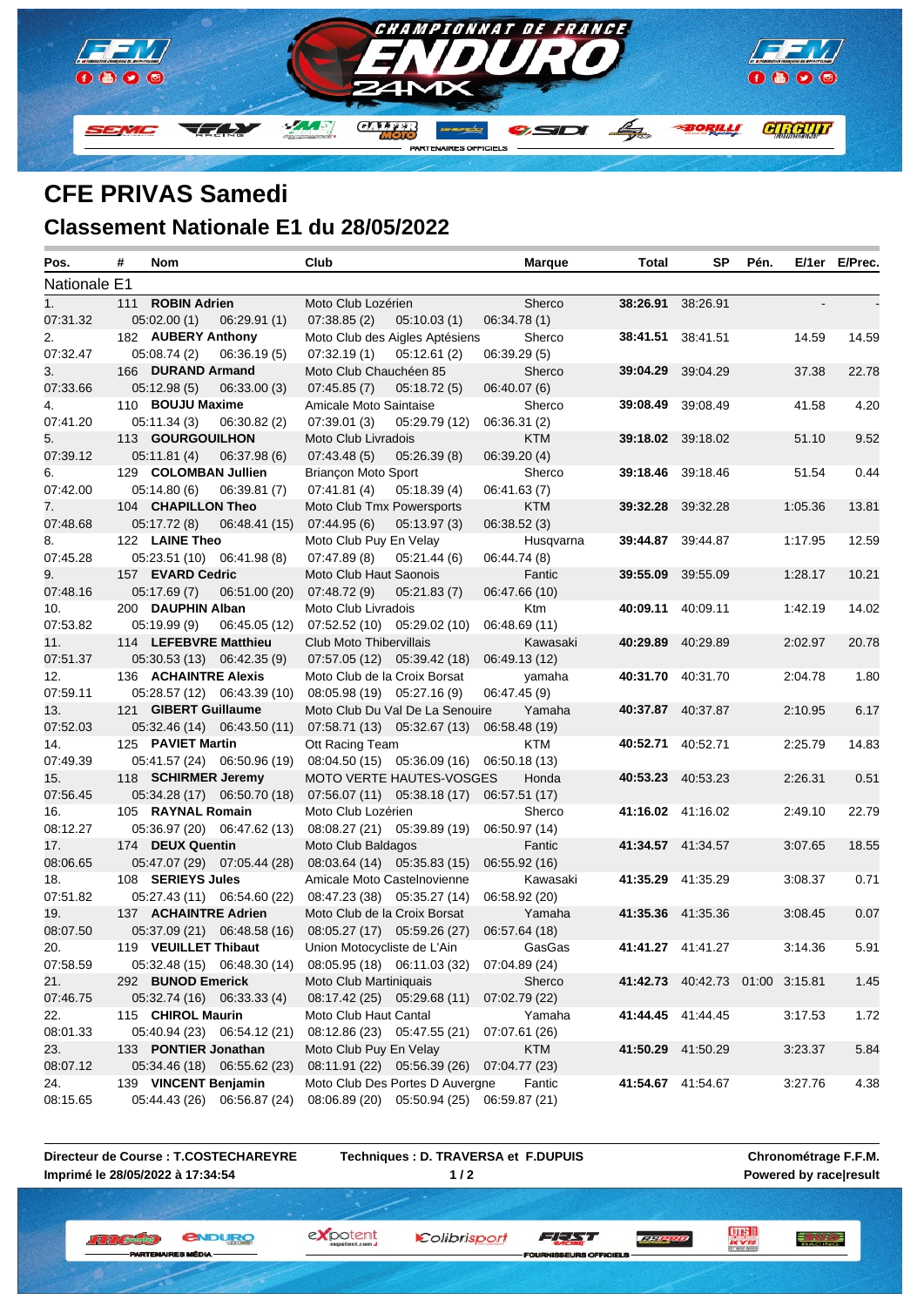

## **CFE PRIVAS Samedi Classement Nationale E1 du 28/05/2022**

| Pos.           | # | <b>Nom</b>            |                              | Club                           |                                           | <b>Marque</b> | Total | SP                              | Pén. |         | E/1er E/Prec. |
|----------------|---|-----------------------|------------------------------|--------------------------------|-------------------------------------------|---------------|-------|---------------------------------|------|---------|---------------|
| Nationale E1   |   |                       |                              |                                |                                           |               |       |                                 |      |         |               |
| 1 <sub>1</sub> |   | 111 ROBIN Adrien      |                              | Moto Club Lozérien             |                                           | Sherco        |       | 38:26.91 38:26.91               |      |         |               |
| 07:31.32       |   | 05:02.00(1)           | 06:29.91(1)                  | 07:38.85(2)                    | 05:10.03(1)                               | 06:34.78 (1)  |       |                                 |      |         |               |
| 2.             |   | 182 AUBERY Anthony    |                              |                                | Moto Club des Aigles Aptésiens            | Sherco        |       | 38:41.51 38:41.51               |      | 14.59   | 14.59         |
| 07:32.47       |   | 05:08.74(2)           | 06:36.19(5)                  | 07:32.19 (1)                   | 05:12.61(2)                               | 06:39.29(5)   |       |                                 |      |         |               |
| 3.             |   | 166 DURAND Armand     |                              | Moto Club Chauchéen 85         |                                           | Sherco        |       | <b>39:04.29</b> 39:04.29        |      | 37.38   | 22.78         |
| 07:33.66       |   | 05:12.98(5)           | 06:33.00(3)                  | 07:45.85(7)                    | 05:18.72(5)                               | 06:40.07 (6)  |       |                                 |      |         |               |
| 4.             |   | 110 BOUJU Maxime      |                              | Amicale Moto Saintaise         |                                           | Sherco        |       | <b>39:08.49</b> 39:08.49        |      | 41.58   | 4.20          |
| 07:41.20       |   | 05:11.34(3)           | 06:30.82(2)                  | 07:39.01(3)                    | 05:29.79 (12)                             | 06:36.31(2)   |       |                                 |      |         |               |
| 5.             |   | 113 GOURGOUILHON      |                              | Moto Club Livradois            |                                           | <b>KTM</b>    |       | 39:18.02 39:18.02               |      | 51.10   | 9.52          |
| 07:39.12       |   | 05:11.81(4)           | 06:37.98(6)                  | 07:43.48(5)                    | 05:26.39(8)                               | 06:39.20 (4)  |       |                                 |      |         |               |
| 6.             |   | 129 COLOMBAN Jullien  |                              | Briançon Moto Sport            |                                           | Sherco        |       | <b>39:18.46</b> 39:18.46        |      | 51.54   | 0.44          |
| 07:42.00       |   | 05:14.80(6)           | 06:39.81(7)                  | 07:41.81(4)                    | 05:18.39(4)                               | 06:41.63(7)   |       |                                 |      |         |               |
| 7.             |   | 104 CHAPILLON Theo    |                              | Moto Club Tmx Powersports      |                                           | <b>KTM</b>    |       | <b>39:32.28</b> 39:32.28        |      | 1:05.36 | 13.81         |
| 07:48.68       |   | 05:17.72(8)           | 06:48.41 (15)                | 07:44.95(6)                    | 05:13.97(3)                               | 06:38.52 (3)  |       |                                 |      |         |               |
| 8.             |   | 122 LAINE Theo        |                              | Moto Club Puy En Velay         |                                           | Husqvarna     |       | <b>39:44.87</b> 39:44.87        |      | 1:17.95 | 12.59         |
| 07:45.28       |   |                       | 05:23.51 (10) 06:41.98 (8)   | 07:47.89(8)                    | 05:21.44(6)                               | 06:44.74 (8)  |       |                                 |      |         |               |
| 9.             |   | 157 EVARD Cedric      |                              | Moto Club Haut Saonois         |                                           | Fantic        |       | 39:55.09 39:55.09               |      | 1:28.17 | 10.21         |
| 07:48.16       |   | 05:17.69(7)           | 06:51.00 (20)                | 07:48.72 (9)                   | 05:21.83(7)                               | 06:47.66 (10) |       |                                 |      |         |               |
| 10.            |   | 200 DAUPHIN Alban     |                              | Moto Club Livradois            |                                           | Ktm           |       | 40:09.11 40:09.11               |      | 1:42.19 | 14.02         |
| 07:53.82       |   | 05:19.99(9)           | 06:45.05 (12)                |                                | 07:52.52 (10) 05:29.02 (10)               | 06:48.69 (11) |       |                                 |      |         |               |
| 11.            |   | 114 LEFEBVRE Matthieu |                              | <b>Club Moto Thibervillais</b> |                                           | Kawasaki      |       | 40:29.89 40:29.89               |      | 2:02.97 | 20.78         |
| 07:51.37       |   |                       | $05:30.53(13)$ $06:42.35(9)$ |                                | 07:57.05 (12) 05:39.42 (18)               | 06:49.13 (12) |       |                                 |      |         |               |
| 12.            |   | 136 ACHAINTRE Alexis  |                              | Moto Club de la Croix Borsat   |                                           | yamaha        |       | 40:31.70 40:31.70               |      | 2:04.78 | 1.80          |
| 07:59.11       |   |                       | 05:28.57 (12) 06:43.39 (10)  | 08:05.98 (19) 05:27.16 (9)     |                                           | 06:47.45 (9)  |       |                                 |      |         |               |
| 13.            |   | 121 GIBERT Guillaume  |                              |                                | Moto Club Du Val De La Senouire           | Yamaha        |       | 40:37.87 40:37.87               |      | 2:10.95 | 6.17          |
| 07:52.03       |   |                       | 05:32.46 (14) 06:43.50 (11)  |                                | 07:58.71 (13) 05:32.67 (13) 06:58.48 (19) |               |       |                                 |      |         |               |
| 14.            |   | 125 PAVIET Martin     |                              | Ott Racing Team                |                                           | KTM           |       | 40:52.71 40:52.71               |      | 2:25.79 | 14.83         |
| 07:49.39       |   |                       | 05:41.57 (24) 06:50.96 (19)  |                                | 08:04.50 (15) 05:36.09 (16)               | 06:50.18 (13) |       |                                 |      |         |               |
| 15.            |   | 118 SCHIRMER Jeremy   |                              |                                | <b>MOTO VERTE HAUTES-VOSGES</b>           | Honda         |       | 40:53.23 40:53.23               |      | 2:26.31 | 0.51          |
| 07:56.45       |   |                       | 05:34.28 (17) 06:50.70 (18)  |                                | 07:56.07 (11) 05:38.18 (17)               | 06:57.51(17)  |       |                                 |      |         |               |
| 16.            |   | 105 RAYNAL Romain     |                              | Moto Club Lozérien             |                                           | Sherco        |       | 41:16.02 41:16.02               |      | 2:49.10 | 22.79         |
| 08:12.27       |   |                       | 05:36.97 (20) 06:47.62 (13)  |                                | 08:08.27 (21) 05:39.89 (19)               | 06:50.97 (14) |       |                                 |      |         |               |
| 17.            |   | 174 DEUX Quentin      |                              | Moto Club Baldagos             |                                           | Fantic        |       | 41:34.57 41:34.57               |      | 3:07.65 | 18.55         |
| 08:06.65       |   |                       | 05:47.07 (29) 07:05.44 (28)  |                                | 08:03.64 (14) 05:35.83 (15)               | 06:55.92 (16) |       |                                 |      |         |               |
| 18.            |   | 108 SERIEYS Jules     |                              |                                | Amicale Moto Castelnovienne               | Kawasaki      |       | 41:35.29 41:35.29               |      | 3:08.37 | 0.71          |
| 07:51.82       |   |                       | 05:27.43 (11) 06:54.60 (22)  |                                | 08:47.23 (38) 05:35.27 (14)               | 06:58.92 (20) |       |                                 |      |         |               |
| 19.            |   | 137 ACHAINTRE Adrien  |                              | Moto Club de la Croix Borsat   |                                           | Yamaha        |       | 41:35.36 41:35.36               |      | 3:08.45 | 0.07          |
| 08:07.50       |   |                       | 05:37.09 (21) 06:48.58 (16)  |                                | 08:05.27 (17) 05:59.26 (27)               | 06:57.64 (18) |       |                                 |      |         |               |
| 20.            |   | 119 VEUILLET Thibaut  |                              | Union Motocycliste de L'Ain    |                                           | GasGas        |       | 41:41.27 41:41.27               |      | 3:14.36 | 5.91          |
| 07:58.59       |   |                       | 05:32.48 (15) 06:48.30 (14)  |                                | 08:05.95 (18) 06:11.03 (32) 07:04.89 (24) |               |       |                                 |      |         |               |
| 21.            |   | 292 BUNOD Emerick     |                              | Moto Club Martiniquais         |                                           | Sherco        |       | 41:42.73 40:42.73 01:00 3:15.81 |      |         | 1.45          |
| 07:46.75       |   |                       | 05:32.74 (16) 06:33.33 (4)   |                                | 08:17.42 (25) 05:29.68 (11)               | 07:02.79 (22) |       |                                 |      |         |               |
| 22.            |   | 115 CHIROL Maurin     |                              | Moto Club Haut Cantal          |                                           | Yamaha        |       | 41:44.45 41:44.45               |      | 3:17.53 | 1.72          |
| 08:01.33       |   |                       | 05:40.94 (23) 06:54.12 (21)  |                                | 08:12.86 (23) 05:47.55 (21)               | 07:07.61 (26) |       |                                 |      |         |               |
| 23.            |   | 133 PONTIER Jonathan  |                              | Moto Club Puy En Velay         |                                           | <b>KTM</b>    |       | 41:50.29 41:50.29               |      | 3:23.37 | 5.84          |
| 08:07.12       |   |                       | 05:34.46 (18) 06:55.62 (23)  |                                | 08:11.91 (22) 05:56.39 (26) 07:04.77 (23) |               |       |                                 |      |         |               |
| 24.            |   | 139 VINCENT Benjamin  |                              |                                | Moto Club Des Portes D Auvergne           | Fantic        |       | 41:54.67 41:54.67               |      | 3:27.76 | 4.38          |
| 08:15.65       |   |                       | 05:44.43 (26) 06:56.87 (24)  |                                | 08:06.89 (20) 05:50.94 (25) 06:59.87 (21) |               |       |                                 |      |         |               |

**Directeur de Course : T.COSTECHAREYRE Imprimé le 28/05/2022 à 17:34:54**

**IBTEM** 

**Techniques : D. TRAVERSA et F.DUPUIS 1 / 2**

**Chronométrage F.F.M. Powered by race|result**

三方學學

*<u>ENDURO</u>* **W. W. L. Antipolis C.** 

ES MÉDIA

Colibrisport

expotent

**SEURS OFFICIELS** 

**LUISH**<br>Acres

FEAT **REPORT**